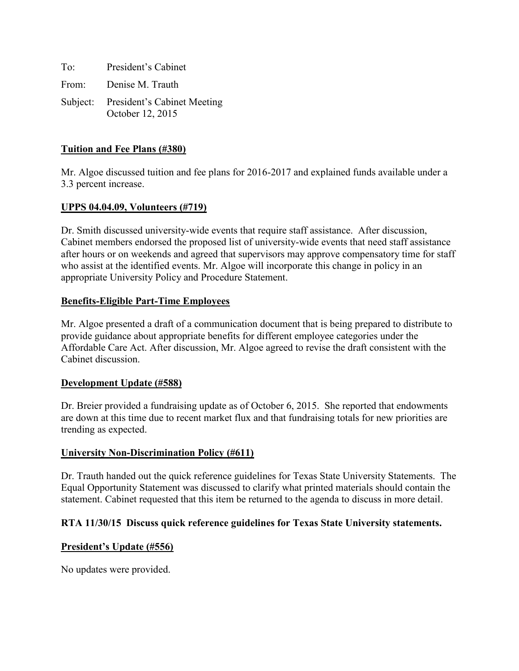To: President's Cabinet From: Denise M. Trauth Subject: President's Cabinet Meeting October 12, 2015

# **Tuition and Fee Plans (#380)**

Mr. Algoe discussed tuition and fee plans for 2016-2017 and explained funds available under a 3.3 percent increase.

### **UPPS 04.04.09, Volunteers (#719)**

Dr. Smith discussed university-wide events that require staff assistance. After discussion, Cabinet members endorsed the proposed list of university-wide events that need staff assistance after hours or on weekends and agreed that supervisors may approve compensatory time for staff who assist at the identified events. Mr. Algoe will incorporate this change in policy in an appropriate University Policy and Procedure Statement.

### **Benefits-Eligible Part-Time Employees**

Mr. Algoe presented a draft of a communication document that is being prepared to distribute to provide guidance about appropriate benefits for different employee categories under the Affordable Care Act. After discussion, Mr. Algoe agreed to revise the draft consistent with the Cabinet discussion.

### **Development Update (#588)**

Dr. Breier provided a fundraising update as of October 6, 2015. She reported that endowments are down at this time due to recent market flux and that fundraising totals for new priorities are trending as expected.

### **University Non-Discrimination Policy (#611)**

Dr. Trauth handed out the quick reference guidelines for Texas State University Statements. The Equal Opportunity Statement was discussed to clarify what printed materials should contain the statement. Cabinet requested that this item be returned to the agenda to discuss in more detail.

### **RTA 11/30/15 Discuss quick reference guidelines for Texas State University statements.**

### **President's Update (#556)**

No updates were provided.